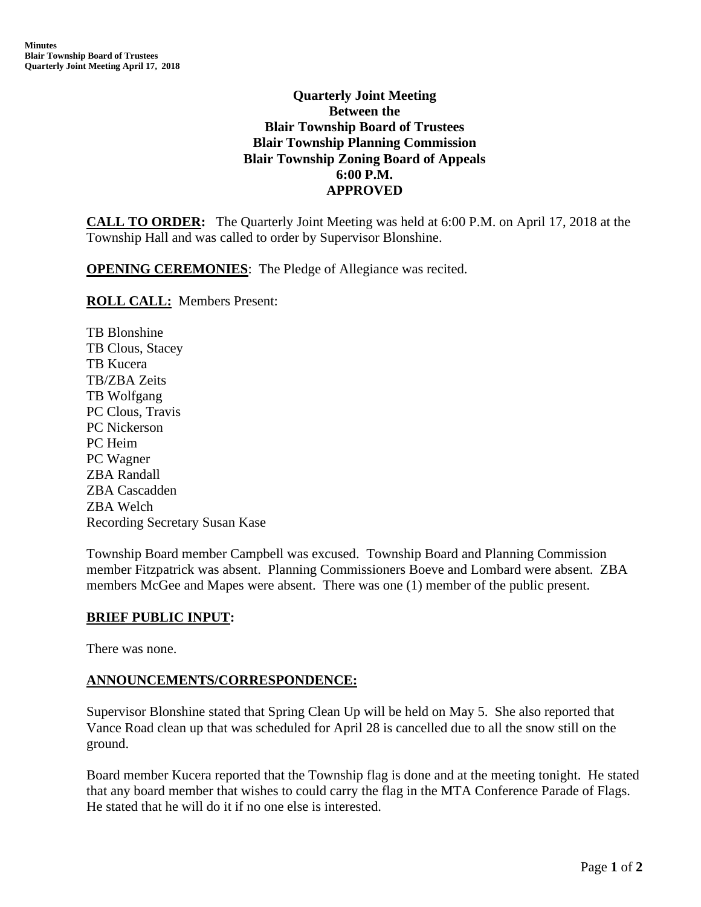# **Quarterly Joint Meeting Between the Blair Township Board of Trustees Blair Township Planning Commission Blair Township Zoning Board of Appeals 6:00 P.M. APPROVED**

**CALL TO ORDER:** The Quarterly Joint Meeting was held at 6:00 P.M. on April 17, 2018 at the Township Hall and was called to order by Supervisor Blonshine.

**OPENING CEREMONIES**: The Pledge of Allegiance was recited.

#### **ROLL CALL:** Members Present:

TB Blonshine TB Clous, Stacey TB Kucera TB/ZBA Zeits TB Wolfgang PC Clous, Travis PC Nickerson PC Heim PC Wagner ZBA Randall ZBA Cascadden ZBA Welch Recording Secretary Susan Kase

Township Board member Campbell was excused. Township Board and Planning Commission member Fitzpatrick was absent. Planning Commissioners Boeve and Lombard were absent. ZBA members McGee and Mapes were absent. There was one (1) member of the public present.

### **BRIEF PUBLIC INPUT:**

There was none.

### **ANNOUNCEMENTS/CORRESPONDENCE:**

Supervisor Blonshine stated that Spring Clean Up will be held on May 5. She also reported that Vance Road clean up that was scheduled for April 28 is cancelled due to all the snow still on the ground.

Board member Kucera reported that the Township flag is done and at the meeting tonight. He stated that any board member that wishes to could carry the flag in the MTA Conference Parade of Flags. He stated that he will do it if no one else is interested.